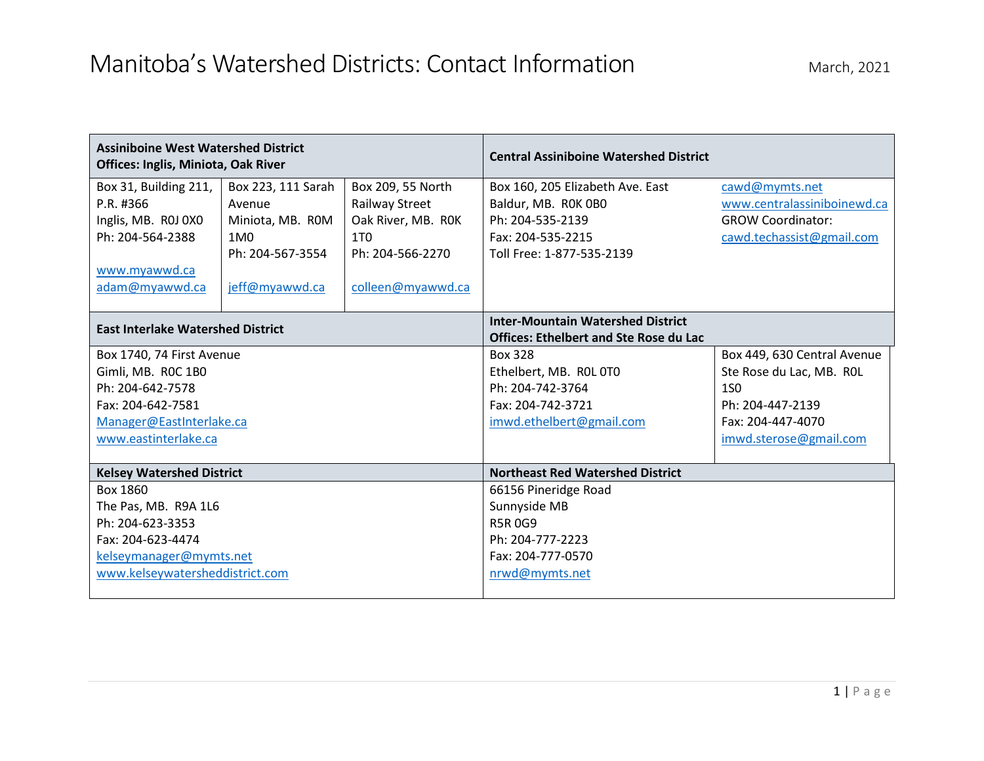## Manitoba's Watershed Districts: Contact Information March, 2021

| <b>Assiniboine West Watershed District</b><br>Offices: Inglis, Miniota, Oak River                                                            |                                                                                                           |                                                                                                                       | <b>Central Assiniboine Watershed District</b>                                                                                 |                                                                                                                                          |
|----------------------------------------------------------------------------------------------------------------------------------------------|-----------------------------------------------------------------------------------------------------------|-----------------------------------------------------------------------------------------------------------------------|-------------------------------------------------------------------------------------------------------------------------------|------------------------------------------------------------------------------------------------------------------------------------------|
| Box 31, Building 211,<br>P.R. #366<br>Inglis, MB. ROJ 0X0<br>Ph: 204-564-2388<br>www.myawwd.ca<br>adam@myawwd.ca                             | Box 223, 111 Sarah<br>Avenue<br>Miniota, MB. ROM<br>1M <sub>0</sub><br>Ph: 204-567-3554<br>jeff@myawwd.ca | Box 209, 55 North<br>Railway Street<br>Oak River, MB. ROK<br>1T <sub>0</sub><br>Ph: 204-566-2270<br>colleen@myawwd.ca | Box 160, 205 Elizabeth Ave. East<br>Baldur, MB. ROK OBO<br>Ph: 204-535-2139<br>Fax: 204-535-2215<br>Toll Free: 1-877-535-2139 | cawd@mymts.net<br>www.centralassiniboinewd.ca<br><b>GROW Coordinator:</b><br>cawd.techassist@gmail.com                                   |
| <b>East Interlake Watershed District</b>                                                                                                     |                                                                                                           |                                                                                                                       | <b>Inter-Mountain Watershed District</b><br><b>Offices: Ethelbert and Ste Rose du Lac</b>                                     |                                                                                                                                          |
| Box 1740, 74 First Avenue<br>Gimli, MB. ROC 1B0<br>Ph: 204-642-7578<br>Fax: 204-642-7581<br>Manager@EastInterlake.ca<br>www.eastinterlake.ca |                                                                                                           |                                                                                                                       | Box 328<br>Ethelbert, MB. ROL 0T0<br>Ph: 204-742-3764<br>Fax: 204-742-3721<br>imwd.ethelbert@gmail.com                        | Box 449, 630 Central Avenue<br>Ste Rose du Lac, MB. ROL<br><b>1SO</b><br>Ph: 204-447-2139<br>Fax: 204-447-4070<br>imwd.sterose@gmail.com |
| <b>Kelsey Watershed District</b>                                                                                                             |                                                                                                           |                                                                                                                       | <b>Northeast Red Watershed District</b>                                                                                       |                                                                                                                                          |
| Box 1860<br>The Pas, MB. R9A 1L6<br>Ph: 204-623-3353<br>Fax: 204-623-4474<br>kelseymanager@mymts.net<br>www.kelseywatersheddistrict.com      |                                                                                                           |                                                                                                                       | 66156 Pineridge Road<br>Sunnyside MB<br><b>R5R0G9</b><br>Ph: 204-777-2223<br>Fax: 204-777-0570<br>nrwd@mymts.net              |                                                                                                                                          |